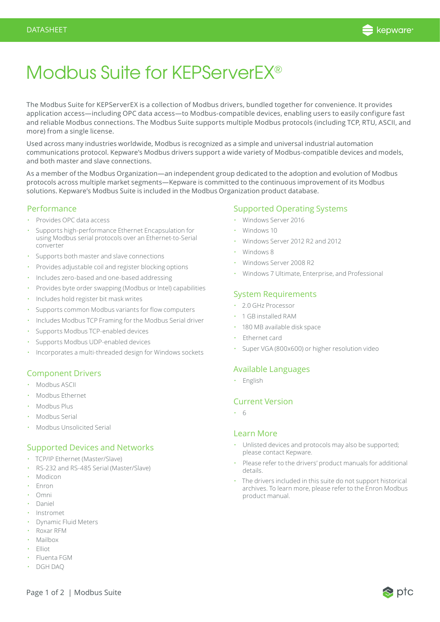

# Modbus Suite for KEPServerEX®

The Modbus Suite for KEPServerEX is a collection of Modbus drivers, bundled together for convenience. It provides application access—including OPC data access—to Modbus-compatible devices, enabling users to easily configure fast and reliable Modbus connections. The Modbus Suite supports multiple Modbus protocols (including TCP, RTU, ASCII, and more) from a single license.

Used across many industries worldwide, Modbus is recognized as a simple and universal industrial automation communications protocol. Kepware's Modbus drivers support a wide variety of Modbus-compatible devices and models, and both master and slave connections.

As a member of the Modbus Organization—an independent group dedicated to the adoption and evolution of Modbus protocols across multiple market segments—Kepware is committed to the continuous improvement of its Modbus solutions. Kepware's Modbus Suite is included in the Modbus Organization product database.

## Performance

- Provides OPC data access
- Supports high-performance Ethernet Encapsulation for using Modbus serial protocols over an Ethernet-to-Serial converter
- Supports both master and slave connections
- Provides adjustable coil and register blocking options
- Includes zero-based and one-based addressing
- Provides byte order swapping (Modbus or Intel) capabilities
- Includes hold register bit mask writes
- Supports common Modbus variants for flow computers
- Includes Modbus TCP Framing for the Modbus Serial driver
- Supports Modbus TCP-enabled devices
- Supports Modbus UDP-enabled devices
- Incorporates a multi-threaded design for Windows sockets

# Component Drivers

- Modbus ASCII
- Modbus Ethernet
- Modbus Plus
- Modbus Serial
- Modbus Unsolicited Serial

## Supported Devices and Networks

- TCP/IP Ethernet (Master/Slave)
- RS-232 and RS-485 Serial (Master/Slave)
- Modicon
- Enron
- Omni
- Daniel
- Instromet
- Dynamic Fluid Meters
- Roxar RFM
- Mailbox
- Elliot
- Fluenta FGM
- DGH DAQ

# Supported Operating Systems

- Windows Server 2016
- Windows 10
- Windows Server 2012 R2 and 2012
- Windows 8
- Windows Server 2008 R2
- Windows 7 Ultimate, Enterprise, and Professional

## System Requirements

- 2.0 GHz Processor
- 1 GB installed RAM
- 180 MB available disk space
- Ethernet card
- Super VGA (800x600) or higher resolution video

## Available Languages

• English

# Current Version

• 6

#### Learn More

- Unlisted devices and protocols may also be supported; please contact Kepware.
- Please refer to the drivers' product manuals for additional details.
- The drivers included in this suite do not support historical archives. To learn more, please refer to the Enron Modbus product manual.